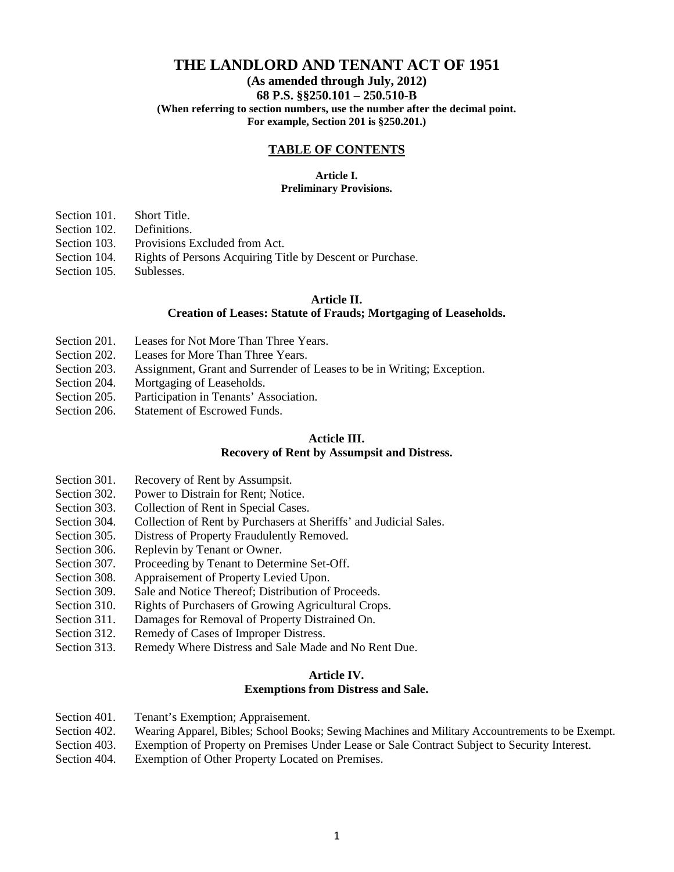# **THE LANDLORD AND TENANT ACT OF 1951**

# **(As amended through July, 2012) 68 P.S. §§250.101 – 250.510-B (When referring to section numbers, use the number after the decimal point.**

**For example, Section 201 is §250.201.)**

## **TABLE OF CONTENTS**

### **Article I. Preliminary Provisions.**

Section 101. Short Title.

- Section 102. Definitions.
- Section 103. Provisions Excluded from Act.
- Section 104. Rights of Persons Acquiring Title by Descent or Purchase.
- Section 105. Sublesses.

## **Article II.**

## **Creation of Leases: Statute of Frauds; Mortgaging of Leaseholds.**

- Section 201. Leases for Not More Than Three Years.
- Section 202. Leases for More Than Three Years.
- Section 203. Assignment, Grant and Surrender of Leases to be in Writing; Exception.
- Section 204. Mortgaging of Leaseholds.
- Section 205. Participation in Tenants' Association.
- Section 206. Statement of Escrowed Funds.

## **Acticle III.**

#### **Recovery of Rent by Assumpsit and Distress.**

- Section 301. Recovery of Rent by Assumpsit.
- Section 302. Power to Distrain for Rent; Notice.
- Section 303. Collection of Rent in Special Cases.
- Section 304. Collection of Rent by Purchasers at Sheriffs' and Judicial Sales.
- Section 305. Distress of Property Fraudulently Removed.
- Section 306. Replevin by Tenant or Owner.
- Section 307. Proceeding by Tenant to Determine Set-Off.
- Section 308. Appraisement of Property Levied Upon.
- Section 309. Sale and Notice Thereof; Distribution of Proceeds.
- Section 310. Rights of Purchasers of Growing Agricultural Crops.
- Section 311. Damages for Removal of Property Distrained On.
- Section 312. Remedy of Cases of Improper Distress.
- Section 313. Remedy Where Distress and Sale Made and No Rent Due.

### **Article IV. Exemptions from Distress and Sale.**

- Section 401. Tenant's Exemption; Appraisement.
- Section 402. Wearing Apparel, Bibles; School Books; Sewing Machines and Military Accountrements to be Exempt.
- Section 403. Exemption of Property on Premises Under Lease or Sale Contract Subject to Security Interest.
- Section 404. Exemption of Other Property Located on Premises.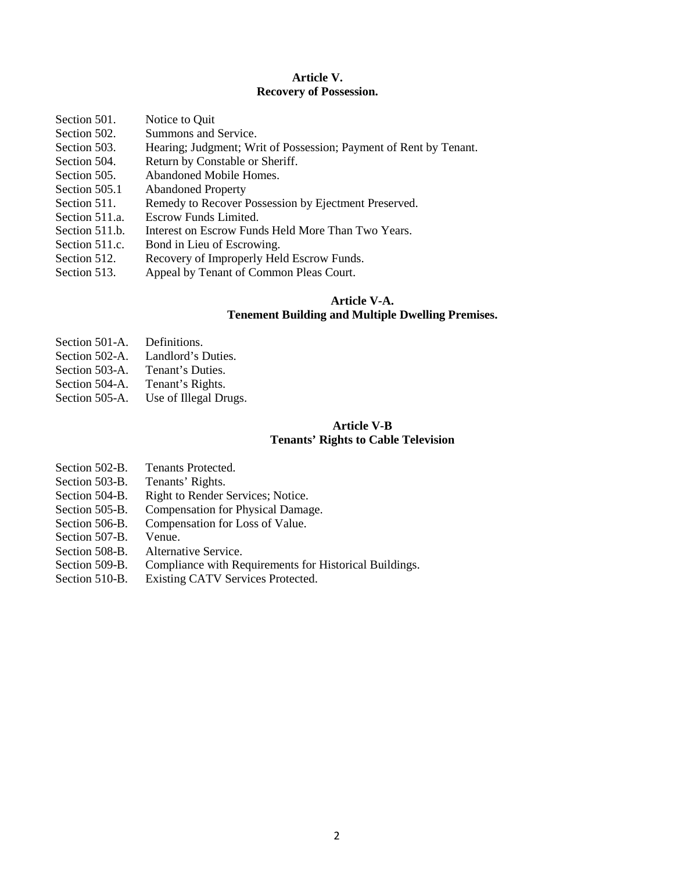### **Article V. Recovery of Possession.**

| Section 501.   | Notice to Quit                                                    |
|----------------|-------------------------------------------------------------------|
| Section 502.   | Summons and Service.                                              |
| Section 503.   | Hearing; Judgment; Writ of Possession; Payment of Rent by Tenant. |
| Section 504.   | Return by Constable or Sheriff.                                   |
| Section 505.   | Abandoned Mobile Homes.                                           |
| Section 505.1  | <b>Abandoned Property</b>                                         |
| Section 511.   | Remedy to Recover Possession by Ejectment Preserved.              |
| Section 511.a. | Escrow Funds Limited.                                             |
| Section 511.b. | Interest on Escrow Funds Held More Than Two Years.                |
| Section 511.c. | Bond in Lieu of Escrowing.                                        |
| Section 512.   | Recovery of Improperly Held Escrow Funds.                         |
| Section 513.   | Appeal by Tenant of Common Pleas Court.                           |

## **Article V-A. Tenement Building and Multiple Dwelling Premises.**

- Section 501-A. Definitions.
- Section 502-A. Landlord's Duties.
- Section 503-A. Tenant's Duties.
- 
- Section 504-A. Tenant's Rights.<br>Section 505-A. Use of Illegal Dr Use of Illegal Drugs.

## **Article V-B Tenants' Rights to Cable Television**

- Section 502-B. Tenants Protected.
- Section 503-B. Tenants' Rights.
- Section 504-B. Right to Render Services; Notice.
- Section 505-B. Compensation for Physical Damage.
- Section 506-B. Compensation for Loss of Value.
- Section 507-B. Venue.
- Section 508-B. Alternative Service.
- Section 509-B. Compliance with Requirements for Historical Buildings.
- Section 510-B. Existing CATV Services Protected.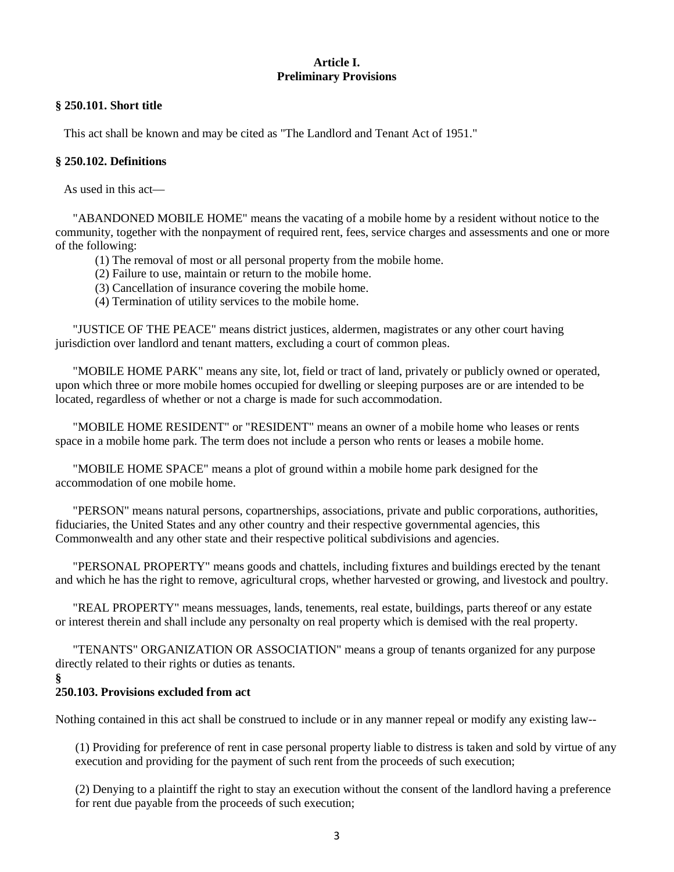# **Article I. Preliminary Provisions**

## **§ 250.101. Short title**

This act shall be known and may be cited as "The Landlord and Tenant Act of 1951."

## **§ 250.102. Definitions**

As used in this act—

 "ABANDONED MOBILE HOME" means the vacating of a mobile home by a resident without notice to the community, together with the nonpayment of required rent, fees, service charges and assessments and one or more of the following:

- (1) The removal of most or all personal property from the mobile home.
- (2) Failure to use, maintain or return to the mobile home.
- (3) Cancellation of insurance covering the mobile home.
- (4) Termination of utility services to the mobile home.

 "JUSTICE OF THE PEACE" means district justices, aldermen, magistrates or any other court having jurisdiction over landlord and tenant matters, excluding a court of common pleas.

 "MOBILE HOME PARK" means any site, lot, field or tract of land, privately or publicly owned or operated, upon which three or more mobile homes occupied for dwelling or sleeping purposes are or are intended to be located, regardless of whether or not a charge is made for such accommodation.

 "MOBILE HOME RESIDENT" or "RESIDENT" means an owner of a mobile home who leases or rents space in a mobile home park. The term does not include a person who rents or leases a mobile home.

 "MOBILE HOME SPACE" means a plot of ground within a mobile home park designed for the accommodation of one mobile home.

 "PERSON" means natural persons, copartnerships, associations, private and public corporations, authorities, fiduciaries, the United States and any other country and their respective governmental agencies, this Commonwealth and any other state and their respective political subdivisions and agencies.

 "PERSONAL PROPERTY" means goods and chattels, including fixtures and buildings erected by the tenant and which he has the right to remove, agricultural crops, whether harvested or growing, and livestock and poultry.

 "REAL PROPERTY" means messuages, lands, tenements, real estate, buildings, parts thereof or any estate or interest therein and shall include any personalty on real property which is demised with the real property.

 "TENANTS" ORGANIZATION OR ASSOCIATION" means a group of tenants organized for any purpose directly related to their rights or duties as tenants.

**§** 

# **250.103. Provisions excluded from act**

Nothing contained in this act shall be construed to include or in any manner repeal or modify any existing law--

(1) Providing for preference of rent in case personal property liable to distress is taken and sold by virtue of any execution and providing for the payment of such rent from the proceeds of such execution;

(2) Denying to a plaintiff the right to stay an execution without the consent of the landlord having a preference for rent due payable from the proceeds of such execution;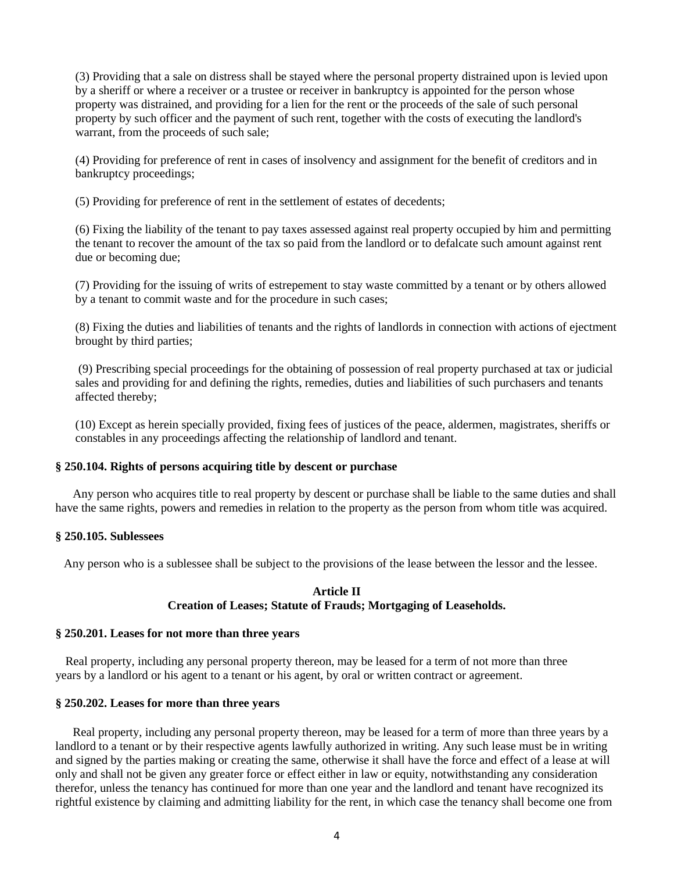(3) Providing that a sale on distress shall be stayed where the personal property distrained upon is levied upon by a sheriff or where a receiver or a trustee or receiver in bankruptcy is appointed for the person whose property was distrained, and providing for a lien for the rent or the proceeds of the sale of such personal property by such officer and the payment of such rent, together with the costs of executing the landlord's warrant, from the proceeds of such sale;

(4) Providing for preference of rent in cases of insolvency and assignment for the benefit of creditors and in bankruptcy proceedings;

(5) Providing for preference of rent in the settlement of estates of decedents;

(6) Fixing the liability of the tenant to pay taxes assessed against real property occupied by him and permitting the tenant to recover the amount of the tax so paid from the landlord or to defalcate such amount against rent due or becoming due;

(7) Providing for the issuing of writs of estrepement to stay waste committed by a tenant or by others allowed by a tenant to commit waste and for the procedure in such cases;

(8) Fixing the duties and liabilities of tenants and the rights of landlords in connection with actions of ejectment brought by third parties;

(9) Prescribing special proceedings for the obtaining of possession of real property purchased at tax or judicial sales and providing for and defining the rights, remedies, duties and liabilities of such purchasers and tenants affected thereby;

(10) Except as herein specially provided, fixing fees of justices of the peace, aldermen, magistrates, sheriffs or constables in any proceedings affecting the relationship of landlord and tenant.

## **§ 250.104. Rights of persons acquiring title by descent or purchase**

 Any person who acquires title to real property by descent or purchase shall be liable to the same duties and shall have the same rights, powers and remedies in relation to the property as the person from whom title was acquired.

#### **§ 250.105. Sublessees**

Any person who is a sublessee shall be subject to the provisions of the lease between the lessor and the lessee.

## **Article II Creation of Leases; Statute of Frauds; Mortgaging of Leaseholds.**

#### **§ 250.201. Leases for not more than three years**

Real property, including any personal property thereon, may be leased for a term of not more than three years by a landlord or his agent to a tenant or his agent, by oral or written contract or agreement.

#### **§ 250.202. Leases for more than three years**

 Real property, including any personal property thereon, may be leased for a term of more than three years by a landlord to a tenant or by their respective agents lawfully authorized in writing. Any such lease must be in writing and signed by the parties making or creating the same, otherwise it shall have the force and effect of a lease at will only and shall not be given any greater force or effect either in law or equity, notwithstanding any consideration therefor, unless the tenancy has continued for more than one year and the landlord and tenant have recognized its rightful existence by claiming and admitting liability for the rent, in which case the tenancy shall become one from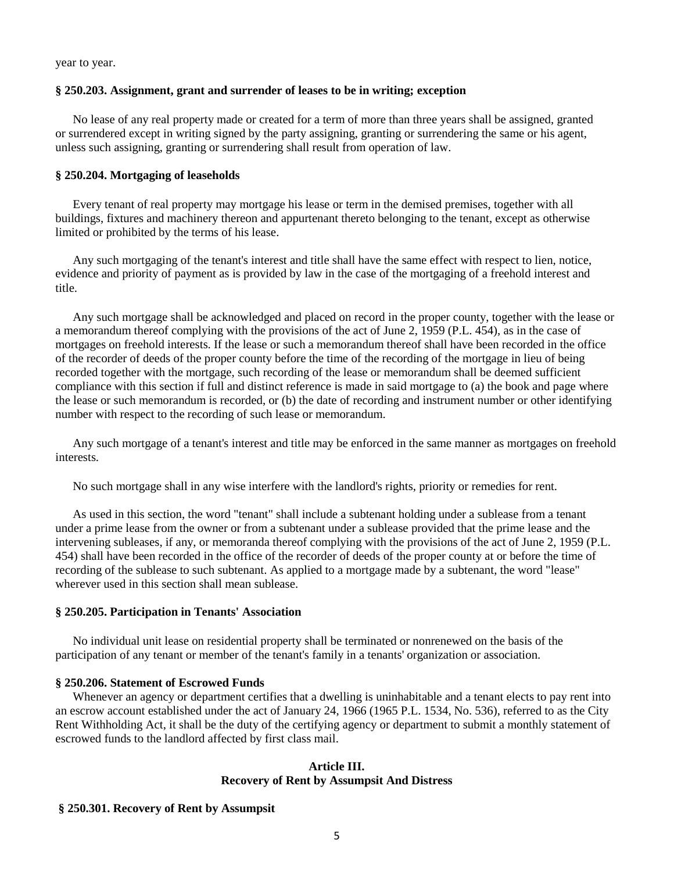year to year.

### **§ 250.203. Assignment, grant and surrender of leases to be in writing; exception**

 No lease of any real property made or created for a term of more than three years shall be assigned, granted or surrendered except in writing signed by the party assigning, granting or surrendering the same or his agent, unless such assigning, granting or surrendering shall result from operation of law.

## **§ 250.204. Mortgaging of leaseholds**

 Every tenant of real property may mortgage his lease or term in the demised premises, together with all buildings, fixtures and machinery thereon and appurtenant thereto belonging to the tenant, except as otherwise limited or prohibited by the terms of his lease.

 Any such mortgaging of the tenant's interest and title shall have the same effect with respect to lien, notice, evidence and priority of payment as is provided by law in the case of the mortgaging of a freehold interest and title.

 Any such mortgage shall be acknowledged and placed on record in the proper county, together with the lease or a memorandum thereof complying with the provisions of the act of June 2, 1959 (P.L. 454), as in the case of mortgages on freehold interests. If the lease or such a memorandum thereof shall have been recorded in the office of the recorder of deeds of the proper county before the time of the recording of the mortgage in lieu of being recorded together with the mortgage, such recording of the lease or memorandum shall be deemed sufficient compliance with this section if full and distinct reference is made in said mortgage to (a) the book and page where the lease or such memorandum is recorded, or (b) the date of recording and instrument number or other identifying number with respect to the recording of such lease or memorandum.

 Any such mortgage of a tenant's interest and title may be enforced in the same manner as mortgages on freehold interests.

No such mortgage shall in any wise interfere with the landlord's rights, priority or remedies for rent.

 As used in this section, the word "tenant" shall include a subtenant holding under a sublease from a tenant under a prime lease from the owner or from a subtenant under a sublease provided that the prime lease and the intervening subleases, if any, or memoranda thereof complying with the provisions of the act of June 2, 1959 (P.L. 454) shall have been recorded in the office of the recorder of deeds of the proper county at or before the time of recording of the sublease to such subtenant. As applied to a mortgage made by a subtenant, the word "lease" wherever used in this section shall mean sublease.

#### **§ 250.205. Participation in Tenants' Association**

 No individual unit lease on residential property shall be terminated or nonrenewed on the basis of the participation of any tenant or member of the tenant's family in a tenants' organization or association.

#### **§ 250.206. Statement of Escrowed Funds**

Whenever an agency or department certifies that a dwelling is uninhabitable and a tenant elects to pay rent into an escrow account established under the act of January 24, 1966 (1965 P.L. 1534, No. 536), referred to as the City Rent Withholding Act, it shall be the duty of the certifying agency or department to submit a monthly statement of escrowed funds to the landlord affected by first class mail.

#### **Article III. Recovery of Rent by Assumpsit And Distress**

#### **§ 250.301. Recovery of Rent by Assumpsit**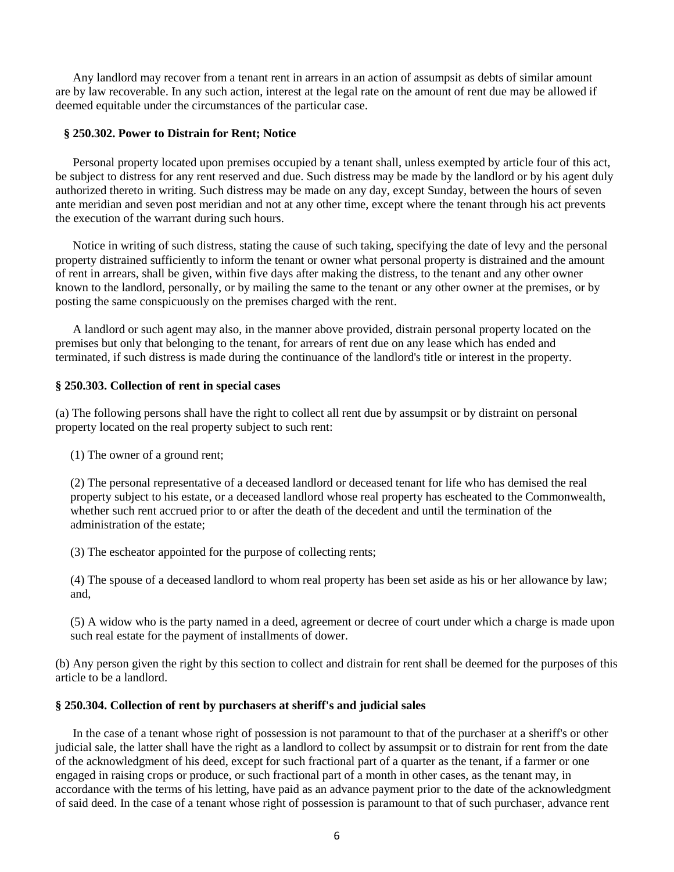Any landlord may recover from a tenant rent in arrears in an action of assumpsit as debts of similar amount are by law recoverable. In any such action, interest at the legal rate on the amount of rent due may be allowed if deemed equitable under the circumstances of the particular case.

## **§ 250.302. Power to Distrain for Rent; Notice**

 Personal property located upon premises occupied by a tenant shall, unless exempted by article four of this act, be subject to distress for any rent reserved and due. Such distress may be made by the landlord or by his agent duly authorized thereto in writing. Such distress may be made on any day, except Sunday, between the hours of seven ante meridian and seven post meridian and not at any other time, except where the tenant through his act prevents the execution of the warrant during such hours.

 Notice in writing of such distress, stating the cause of such taking, specifying the date of levy and the personal property distrained sufficiently to inform the tenant or owner what personal property is distrained and the amount of rent in arrears, shall be given, within five days after making the distress, to the tenant and any other owner known to the landlord, personally, or by mailing the same to the tenant or any other owner at the premises, or by posting the same conspicuously on the premises charged with the rent.

 A landlord or such agent may also, in the manner above provided, distrain personal property located on the premises but only that belonging to the tenant, for arrears of rent due on any lease which has ended and terminated, if such distress is made during the continuance of the landlord's title or interest in the property.

#### **§ 250.303. Collection of rent in special cases**

(a) The following persons shall have the right to collect all rent due by assumpsit or by distraint on personal property located on the real property subject to such rent:

(1) The owner of a ground rent;

(2) The personal representative of a deceased landlord or deceased tenant for life who has demised the real property subject to his estate, or a deceased landlord whose real property has escheated to the Commonwealth, whether such rent accrued prior to or after the death of the decedent and until the termination of the administration of the estate;

(3) The escheator appointed for the purpose of collecting rents;

(4) The spouse of a deceased landlord to whom real property has been set aside as his or her allowance by law; and,

(5) A widow who is the party named in a deed, agreement or decree of court under which a charge is made upon such real estate for the payment of installments of dower.

(b) Any person given the right by this section to collect and distrain for rent shall be deemed for the purposes of this article to be a landlord.

#### **§ 250.304. Collection of rent by purchasers at sheriff's and judicial sales**

 In the case of a tenant whose right of possession is not paramount to that of the purchaser at a sheriff's or other judicial sale, the latter shall have the right as a landlord to collect by assumpsit or to distrain for rent from the date of the acknowledgment of his deed, except for such fractional part of a quarter as the tenant, if a farmer or one engaged in raising crops or produce, or such fractional part of a month in other cases, as the tenant may, in accordance with the terms of his letting, have paid as an advance payment prior to the date of the acknowledgment of said deed. In the case of a tenant whose right of possession is paramount to that of such purchaser, advance rent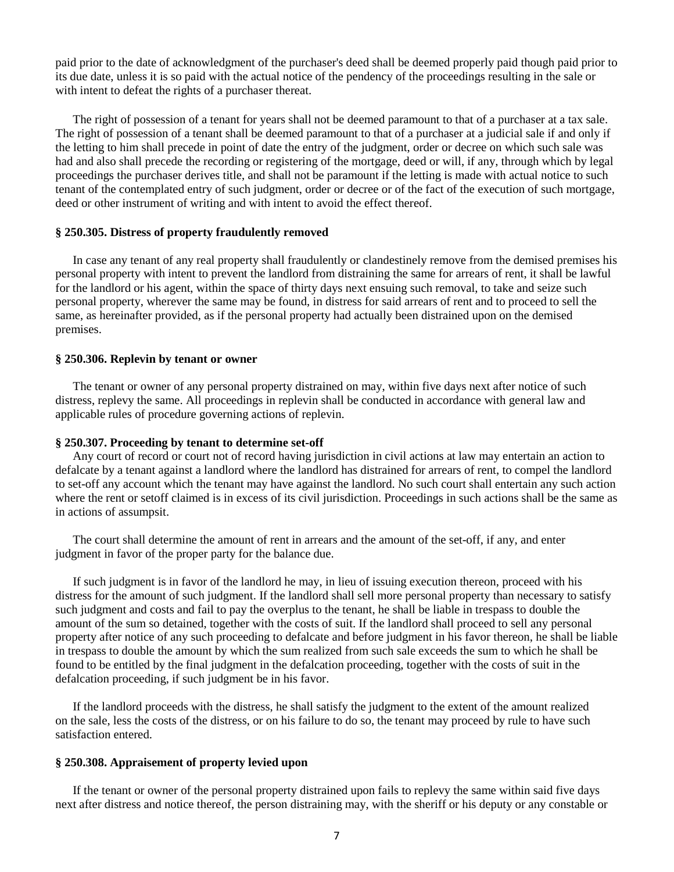paid prior to the date of acknowledgment of the purchaser's deed shall be deemed properly paid though paid prior to its due date, unless it is so paid with the actual notice of the pendency of the proceedings resulting in the sale or with intent to defeat the rights of a purchaser thereat.

 The right of possession of a tenant for years shall not be deemed paramount to that of a purchaser at a tax sale. The right of possession of a tenant shall be deemed paramount to that of a purchaser at a judicial sale if and only if the letting to him shall precede in point of date the entry of the judgment, order or decree on which such sale was had and also shall precede the recording or registering of the mortgage, deed or will, if any, through which by legal proceedings the purchaser derives title, and shall not be paramount if the letting is made with actual notice to such tenant of the contemplated entry of such judgment, order or decree or of the fact of the execution of such mortgage, deed or other instrument of writing and with intent to avoid the effect thereof.

#### **§ 250.305. Distress of property fraudulently removed**

 In case any tenant of any real property shall fraudulently or clandestinely remove from the demised premises his personal property with intent to prevent the landlord from distraining the same for arrears of rent, it shall be lawful for the landlord or his agent, within the space of thirty days next ensuing such removal, to take and seize such personal property, wherever the same may be found, in distress for said arrears of rent and to proceed to sell the same, as hereinafter provided, as if the personal property had actually been distrained upon on the demised premises.

#### **§ 250.306. Replevin by tenant or owner**

 The tenant or owner of any personal property distrained on may, within five days next after notice of such distress, replevy the same. All proceedings in replevin shall be conducted in accordance with general law and applicable rules of procedure governing actions of replevin.

#### **§ 250.307. Proceeding by tenant to determine set-off**

 Any court of record or court not of record having jurisdiction in civil actions at law may entertain an action to defalcate by a tenant against a landlord where the landlord has distrained for arrears of rent, to compel the landlord to set-off any account which the tenant may have against the landlord. No such court shall entertain any such action where the rent or setoff claimed is in excess of its civil jurisdiction. Proceedings in such actions shall be the same as in actions of assumpsit.

 The court shall determine the amount of rent in arrears and the amount of the set-off, if any, and enter judgment in favor of the proper party for the balance due.

 If such judgment is in favor of the landlord he may, in lieu of issuing execution thereon, proceed with his distress for the amount of such judgment. If the landlord shall sell more personal property than necessary to satisfy such judgment and costs and fail to pay the overplus to the tenant, he shall be liable in trespass to double the amount of the sum so detained, together with the costs of suit. If the landlord shall proceed to sell any personal property after notice of any such proceeding to defalcate and before judgment in his favor thereon, he shall be liable in trespass to double the amount by which the sum realized from such sale exceeds the sum to which he shall be found to be entitled by the final judgment in the defalcation proceeding, together with the costs of suit in the defalcation proceeding, if such judgment be in his favor.

 If the landlord proceeds with the distress, he shall satisfy the judgment to the extent of the amount realized on the sale, less the costs of the distress, or on his failure to do so, the tenant may proceed by rule to have such satisfaction entered.

### **§ 250.308. Appraisement of property levied upon**

 If the tenant or owner of the personal property distrained upon fails to replevy the same within said five days next after distress and notice thereof, the person distraining may, with the sheriff or his deputy or any constable or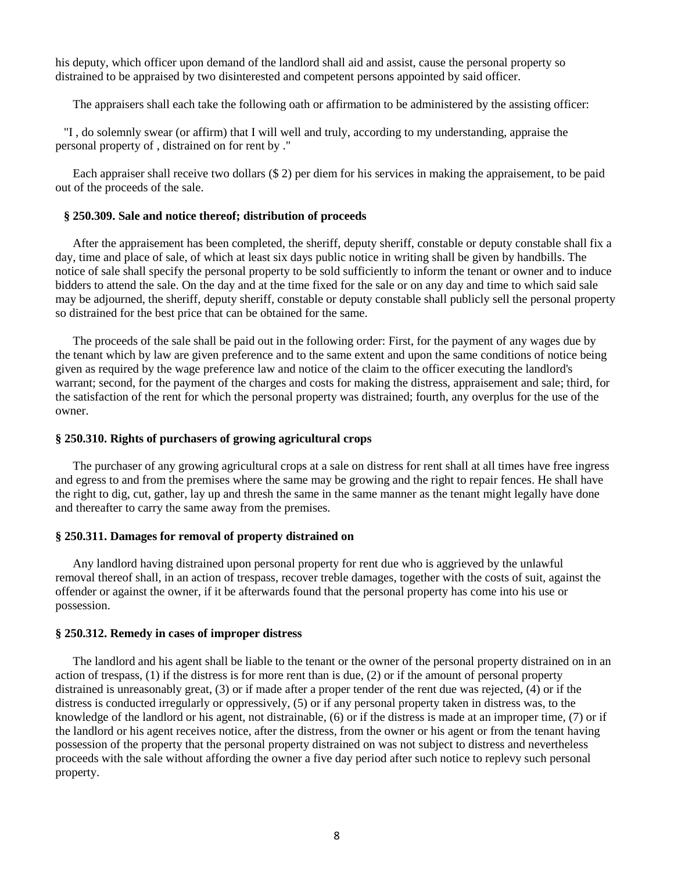his deputy, which officer upon demand of the landlord shall aid and assist, cause the personal property so distrained to be appraised by two disinterested and competent persons appointed by said officer.

The appraisers shall each take the following oath or affirmation to be administered by the assisting officer:

"I , do solemnly swear (or affirm) that I will well and truly, according to my understanding, appraise the personal property of , distrained on for rent by ."

 Each appraiser shall receive two dollars (\$ 2) per diem for his services in making the appraisement, to be paid out of the proceeds of the sale.

#### **§ 250.309. Sale and notice thereof; distribution of proceeds**

 After the appraisement has been completed, the sheriff, deputy sheriff, constable or deputy constable shall fix a day, time and place of sale, of which at least six days public notice in writing shall be given by handbills. The notice of sale shall specify the personal property to be sold sufficiently to inform the tenant or owner and to induce bidders to attend the sale. On the day and at the time fixed for the sale or on any day and time to which said sale may be adjourned, the sheriff, deputy sheriff, constable or deputy constable shall publicly sell the personal property so distrained for the best price that can be obtained for the same.

 The proceeds of the sale shall be paid out in the following order: First, for the payment of any wages due by the tenant which by law are given preference and to the same extent and upon the same conditions of notice being given as required by the wage preference law and notice of the claim to the officer executing the landlord's warrant; second, for the payment of the charges and costs for making the distress, appraisement and sale; third, for the satisfaction of the rent for which the personal property was distrained; fourth, any overplus for the use of the owner.

### **§ 250.310. Rights of purchasers of growing agricultural crops**

 The purchaser of any growing agricultural crops at a sale on distress for rent shall at all times have free ingress and egress to and from the premises where the same may be growing and the right to repair fences. He shall have the right to dig, cut, gather, lay up and thresh the same in the same manner as the tenant might legally have done and thereafter to carry the same away from the premises.

#### **§ 250.311. Damages for removal of property distrained on**

 Any landlord having distrained upon personal property for rent due who is aggrieved by the unlawful removal thereof shall, in an action of trespass, recover treble damages, together with the costs of suit, against the offender or against the owner, if it be afterwards found that the personal property has come into his use or possession.

#### **§ 250.312. Remedy in cases of improper distress**

 The landlord and his agent shall be liable to the tenant or the owner of the personal property distrained on in an action of trespass, (1) if the distress is for more rent than is due, (2) or if the amount of personal property distrained is unreasonably great, (3) or if made after a proper tender of the rent due was rejected, (4) or if the distress is conducted irregularly or oppressively, (5) or if any personal property taken in distress was, to the knowledge of the landlord or his agent, not distrainable, (6) or if the distress is made at an improper time, (7) or if the landlord or his agent receives notice, after the distress, from the owner or his agent or from the tenant having possession of the property that the personal property distrained on was not subject to distress and nevertheless proceeds with the sale without affording the owner a five day period after such notice to replevy such personal property.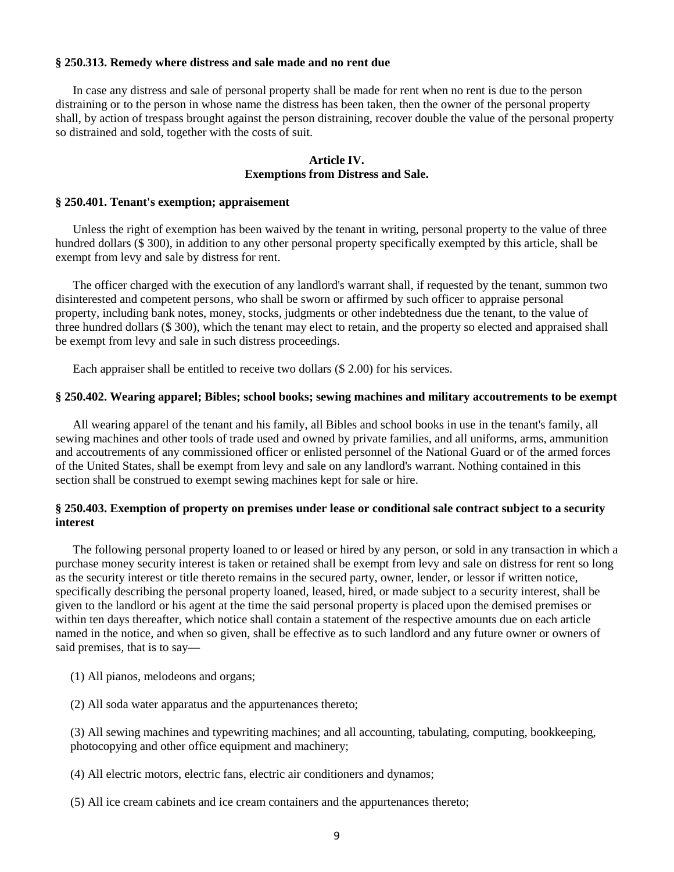### **§ 250.313. Remedy where distress and sale made and no rent due**

 In case any distress and sale of personal property shall be made for rent when no rent is due to the person distraining or to the person in whose name the distress has been taken, then the owner of the personal property shall, by action of trespass brought against the person distraining, recover double the value of the personal property so distrained and sold, together with the costs of suit.

## **Article IV. Exemptions from Distress and Sale.**

#### **§ 250.401. Tenant's exemption; appraisement**

 Unless the right of exemption has been waived by the tenant in writing, personal property to the value of three hundred dollars (\$ 300), in addition to any other personal property specifically exempted by this article, shall be exempt from levy and sale by distress for rent.

 The officer charged with the execution of any landlord's warrant shall, if requested by the tenant, summon two disinterested and competent persons, who shall be sworn or affirmed by such officer to appraise personal property, including bank notes, money, stocks, judgments or other indebtedness due the tenant, to the value of three hundred dollars (\$ 300), which the tenant may elect to retain, and the property so elected and appraised shall be exempt from levy and sale in such distress proceedings.

Each appraiser shall be entitled to receive two dollars (\$ 2.00) for his services.

#### **§ 250.402. Wearing apparel; Bibles; school books; sewing machines and military accoutrements to be exempt**

 All wearing apparel of the tenant and his family, all Bibles and school books in use in the tenant's family, all sewing machines and other tools of trade used and owned by private families, and all uniforms, arms, ammunition and accoutrements of any commissioned officer or enlisted personnel of the National Guard or of the armed forces of the United States, shall be exempt from levy and sale on any landlord's warrant. Nothing contained in this section shall be construed to exempt sewing machines kept for sale or hire.

## **§ 250.403. Exemption of property on premises under lease or conditional sale contract subject to a security interest**

 The following personal property loaned to or leased or hired by any person, or sold in any transaction in which a purchase money security interest is taken or retained shall be exempt from levy and sale on distress for rent so long as the security interest or title thereto remains in the secured party, owner, lender, or lessor if written notice, specifically describing the personal property loaned, leased, hired, or made subject to a security interest, shall be given to the landlord or his agent at the time the said personal property is placed upon the demised premises or within ten days thereafter, which notice shall contain a statement of the respective amounts due on each article named in the notice, and when so given, shall be effective as to such landlord and any future owner or owners of said premises, that is to say—

- (1) All pianos, melodeons and organs;
- (2) All soda water apparatus and the appurtenances thereto;

(3) All sewing machines and typewriting machines; and all accounting, tabulating, computing, bookkeeping, photocopying and other office equipment and machinery;

- (4) All electric motors, electric fans, electric air conditioners and dynamos;
- (5) All ice cream cabinets and ice cream containers and the appurtenances thereto;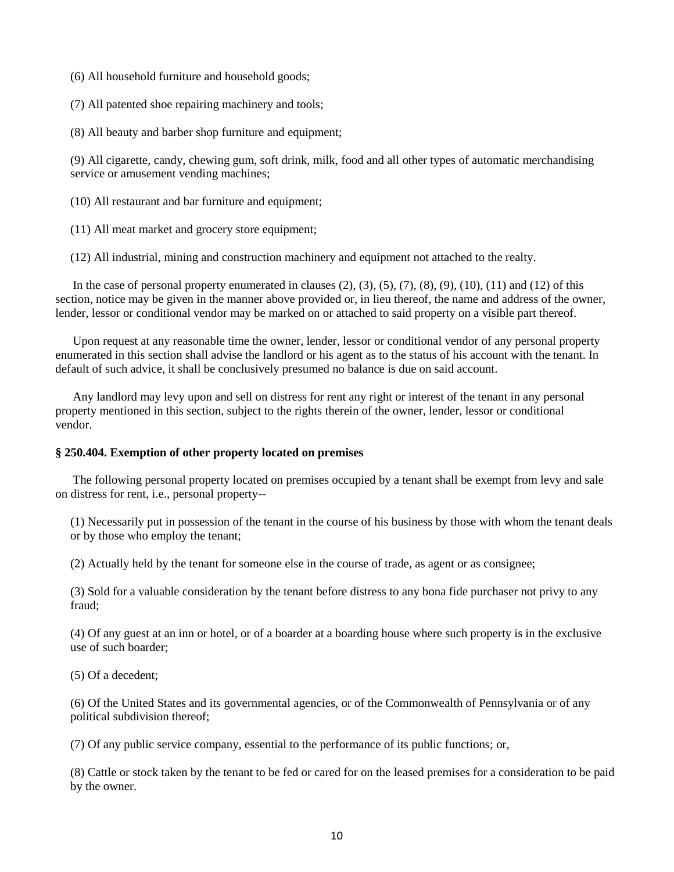(6) All household furniture and household goods;

(7) All patented shoe repairing machinery and tools;

(8) All beauty and barber shop furniture and equipment;

(9) All cigarette, candy, chewing gum, soft drink, milk, food and all other types of automatic merchandising service or amusement vending machines;

(10) All restaurant and bar furniture and equipment;

(11) All meat market and grocery store equipment;

(12) All industrial, mining and construction machinery and equipment not attached to the realty.

In the case of personal property enumerated in clauses  $(2), (3), (5), (7), (8), (9), (10), (11)$  and  $(12)$  of this section, notice may be given in the manner above provided or, in lieu thereof, the name and address of the owner, lender, lessor or conditional vendor may be marked on or attached to said property on a visible part thereof.

 Upon request at any reasonable time the owner, lender, lessor or conditional vendor of any personal property enumerated in this section shall advise the landlord or his agent as to the status of his account with the tenant. In default of such advice, it shall be conclusively presumed no balance is due on said account.

 Any landlord may levy upon and sell on distress for rent any right or interest of the tenant in any personal property mentioned in this section, subject to the rights therein of the owner, lender, lessor or conditional vendor.

#### **§ 250.404. Exemption of other property located on premises**

 The following personal property located on premises occupied by a tenant shall be exempt from levy and sale on distress for rent, i.e., personal property--

(1) Necessarily put in possession of the tenant in the course of his business by those with whom the tenant deals or by those who employ the tenant;

(2) Actually held by the tenant for someone else in the course of trade, as agent or as consignee;

(3) Sold for a valuable consideration by the tenant before distress to any bona fide purchaser not privy to any fraud;

(4) Of any guest at an inn or hotel, or of a boarder at a boarding house where such property is in the exclusive use of such boarder;

(5) Of a decedent;

(6) Of the United States and its governmental agencies, or of the Commonwealth of Pennsylvania or of any political subdivision thereof;

(7) Of any public service company, essential to the performance of its public functions; or,

(8) Cattle or stock taken by the tenant to be fed or cared for on the leased premises for a consideration to be paid by the owner.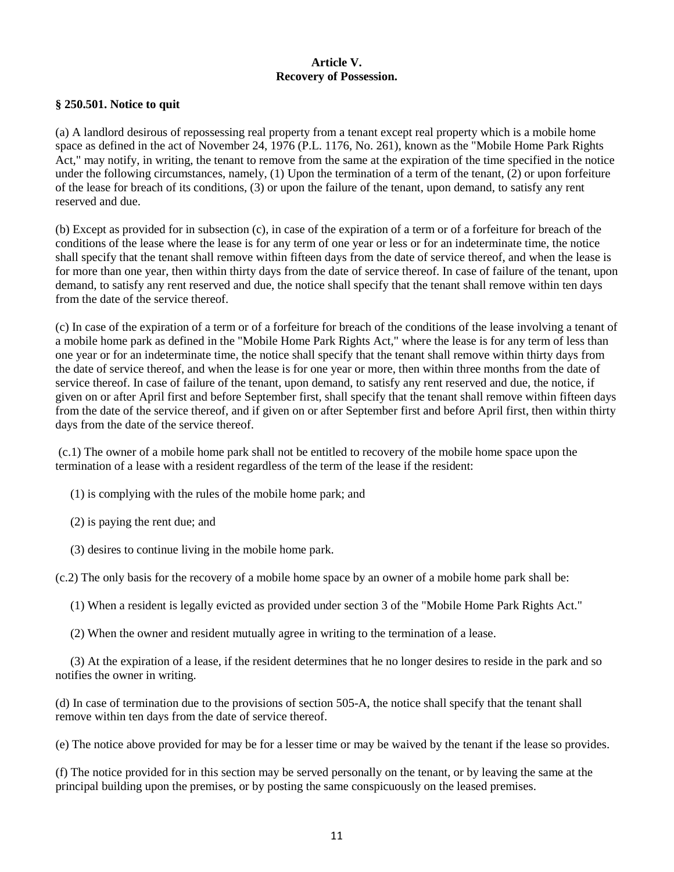# **Article V. Recovery of Possession.**

## **§ 250.501. Notice to quit**

(a) A landlord desirous of repossessing real property from a tenant except real property which is a mobile home space as defined in the act of November 24, 1976 (P.L. 1176, No. 261), known as the "Mobile Home Park Rights Act," may notify, in writing, the tenant to remove from the same at the expiration of the time specified in the notice under the following circumstances, namely, (1) Upon the termination of a term of the tenant, (2) or upon forfeiture of the lease for breach of its conditions, (3) or upon the failure of the tenant, upon demand, to satisfy any rent reserved and due.

(b) Except as provided for in subsection (c), in case of the expiration of a term or of a forfeiture for breach of the conditions of the lease where the lease is for any term of one year or less or for an indeterminate time, the notice shall specify that the tenant shall remove within fifteen days from the date of service thereof, and when the lease is for more than one year, then within thirty days from the date of service thereof. In case of failure of the tenant, upon demand, to satisfy any rent reserved and due, the notice shall specify that the tenant shall remove within ten days from the date of the service thereof.

(c) In case of the expiration of a term or of a forfeiture for breach of the conditions of the lease involving a tenant of a mobile home park as defined in the "Mobile Home Park Rights Act," where the lease is for any term of less than one year or for an indeterminate time, the notice shall specify that the tenant shall remove within thirty days from the date of service thereof, and when the lease is for one year or more, then within three months from the date of service thereof. In case of failure of the tenant, upon demand, to satisfy any rent reserved and due, the notice, if given on or after April first and before September first, shall specify that the tenant shall remove within fifteen days from the date of the service thereof, and if given on or after September first and before April first, then within thirty days from the date of the service thereof.

(c.1) The owner of a mobile home park shall not be entitled to recovery of the mobile home space upon the termination of a lease with a resident regardless of the term of the lease if the resident:

- (1) is complying with the rules of the mobile home park; and
- (2) is paying the rent due; and
- (3) desires to continue living in the mobile home park.

(c.2) The only basis for the recovery of a mobile home space by an owner of a mobile home park shall be:

- (1) When a resident is legally evicted as provided under section 3 of the "Mobile Home Park Rights Act."
- (2) When the owner and resident mutually agree in writing to the termination of a lease.

(3) At the expiration of a lease, if the resident determines that he no longer desires to reside in the park and so notifies the owner in writing.

(d) In case of termination due to the provisions of section 505-A, the notice shall specify that the tenant shall remove within ten days from the date of service thereof.

(e) The notice above provided for may be for a lesser time or may be waived by the tenant if the lease so provides.

(f) The notice provided for in this section may be served personally on the tenant, or by leaving the same at the principal building upon the premises, or by posting the same conspicuously on the leased premises.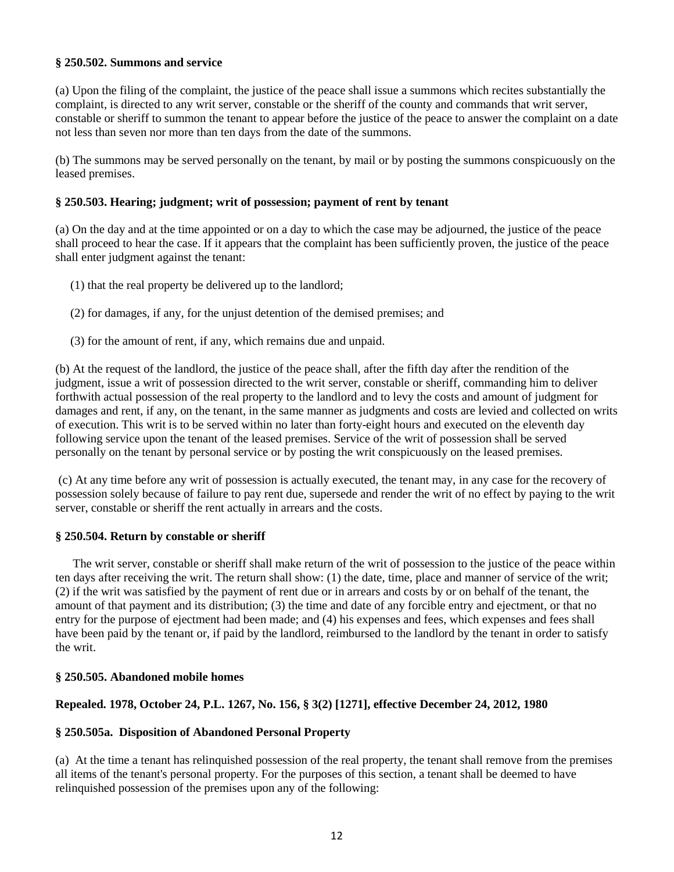## **§ 250.502. Summons and service**

(a) Upon the filing of the complaint, the justice of the peace shall issue a summons which recites substantially the complaint, is directed to any writ server, constable or the sheriff of the county and commands that writ server, constable or sheriff to summon the tenant to appear before the justice of the peace to answer the complaint on a date not less than seven nor more than ten days from the date of the summons.

(b) The summons may be served personally on the tenant, by mail or by posting the summons conspicuously on the leased premises.

## **§ 250.503. Hearing; judgment; writ of possession; payment of rent by tenant**

(a) On the day and at the time appointed or on a day to which the case may be adjourned, the justice of the peace shall proceed to hear the case. If it appears that the complaint has been sufficiently proven, the justice of the peace shall enter judgment against the tenant:

- (1) that the real property be delivered up to the landlord;
- (2) for damages, if any, for the unjust detention of the demised premises; and
- (3) for the amount of rent, if any, which remains due and unpaid.

(b) At the request of the landlord, the justice of the peace shall, after the fifth day after the rendition of the judgment, issue a writ of possession directed to the writ server, constable or sheriff, commanding him to deliver forthwith actual possession of the real property to the landlord and to levy the costs and amount of judgment for damages and rent, if any, on the tenant, in the same manner as judgments and costs are levied and collected on writs of execution. This writ is to be served within no later than forty-eight hours and executed on the eleventh day following service upon the tenant of the leased premises. Service of the writ of possession shall be served personally on the tenant by personal service or by posting the writ conspicuously on the leased premises.

(c) At any time before any writ of possession is actually executed, the tenant may, in any case for the recovery of possession solely because of failure to pay rent due, supersede and render the writ of no effect by paying to the writ server, constable or sheriff the rent actually in arrears and the costs.

## **§ 250.504. Return by constable or sheriff**

 The writ server, constable or sheriff shall make return of the writ of possession to the justice of the peace within ten days after receiving the writ. The return shall show: (1) the date, time, place and manner of service of the writ; (2) if the writ was satisfied by the payment of rent due or in arrears and costs by or on behalf of the tenant, the amount of that payment and its distribution; (3) the time and date of any forcible entry and ejectment, or that no entry for the purpose of ejectment had been made; and (4) his expenses and fees, which expenses and fees shall have been paid by the tenant or, if paid by the landlord, reimbursed to the landlord by the tenant in order to satisfy the writ.

#### **§ 250.505. Abandoned mobile homes**

## **Repealed. 1978, October 24, P.L. 1267, No. 156, § 3(2) [1271], effective December 24, 2012, 1980**

## **§ 250.505a. Disposition of Abandoned Personal Property**

(a) At the time a tenant has relinquished possession of the real property, the tenant shall remove from the premises all items of the tenant's personal property. For the purposes of this section, a tenant shall be deemed to have relinquished possession of the premises upon any of the following: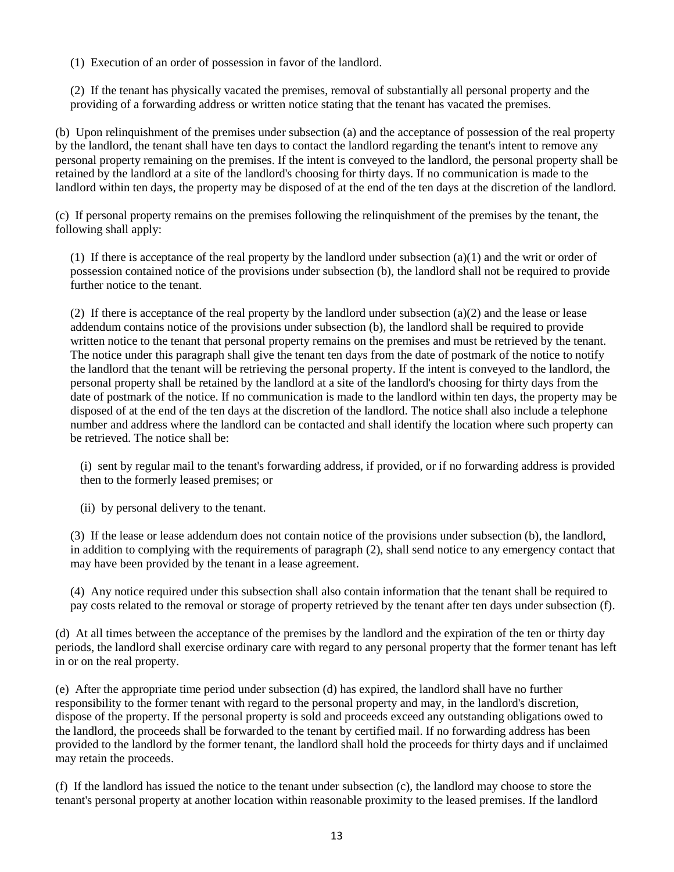(1) Execution of an order of possession in favor of the landlord.

(2) If the tenant has physically vacated the premises, removal of substantially all personal property and the providing of a forwarding address or written notice stating that the tenant has vacated the premises.

(b) Upon relinquishment of the premises under subsection (a) and the acceptance of possession of the real property by the landlord, the tenant shall have ten days to contact the landlord regarding the tenant's intent to remove any personal property remaining on the premises. If the intent is conveyed to the landlord, the personal property shall be retained by the landlord at a site of the landlord's choosing for thirty days. If no communication is made to the landlord within ten days, the property may be disposed of at the end of the ten days at the discretion of the landlord.

(c) If personal property remains on the premises following the relinquishment of the premises by the tenant, the following shall apply:

(1) If there is acceptance of the real property by the landlord under subsection  $(a)(1)$  and the writ or order of possession contained notice of the provisions under subsection (b), the landlord shall not be required to provide further notice to the tenant.

(2) If there is acceptance of the real property by the landlord under subsection (a)(2) and the lease or lease addendum contains notice of the provisions under subsection (b), the landlord shall be required to provide written notice to the tenant that personal property remains on the premises and must be retrieved by the tenant. The notice under this paragraph shall give the tenant ten days from the date of postmark of the notice to notify the landlord that the tenant will be retrieving the personal property. If the intent is conveyed to the landlord, the personal property shall be retained by the landlord at a site of the landlord's choosing for thirty days from the date of postmark of the notice. If no communication is made to the landlord within ten days, the property may be disposed of at the end of the ten days at the discretion of the landlord. The notice shall also include a telephone number and address where the landlord can be contacted and shall identify the location where such property can be retrieved. The notice shall be:

(i) sent by regular mail to the tenant's forwarding address, if provided, or if no forwarding address is provided then to the formerly leased premises; or

(ii) by personal delivery to the tenant.

(3) If the lease or lease addendum does not contain notice of the provisions under subsection (b), the landlord, in addition to complying with the requirements of paragraph (2), shall send notice to any emergency contact that may have been provided by the tenant in a lease agreement.

(4) Any notice required under this subsection shall also contain information that the tenant shall be required to pay costs related to the removal or storage of property retrieved by the tenant after ten days under subsection (f).

(d) At all times between the acceptance of the premises by the landlord and the expiration of the ten or thirty day periods, the landlord shall exercise ordinary care with regard to any personal property that the former tenant has left in or on the real property.

(e) After the appropriate time period under subsection (d) has expired, the landlord shall have no further responsibility to the former tenant with regard to the personal property and may, in the landlord's discretion, dispose of the property. If the personal property is sold and proceeds exceed any outstanding obligations owed to the landlord, the proceeds shall be forwarded to the tenant by certified mail. If no forwarding address has been provided to the landlord by the former tenant, the landlord shall hold the proceeds for thirty days and if unclaimed may retain the proceeds.

(f) If the landlord has issued the notice to the tenant under subsection (c), the landlord may choose to store the tenant's personal property at another location within reasonable proximity to the leased premises. If the landlord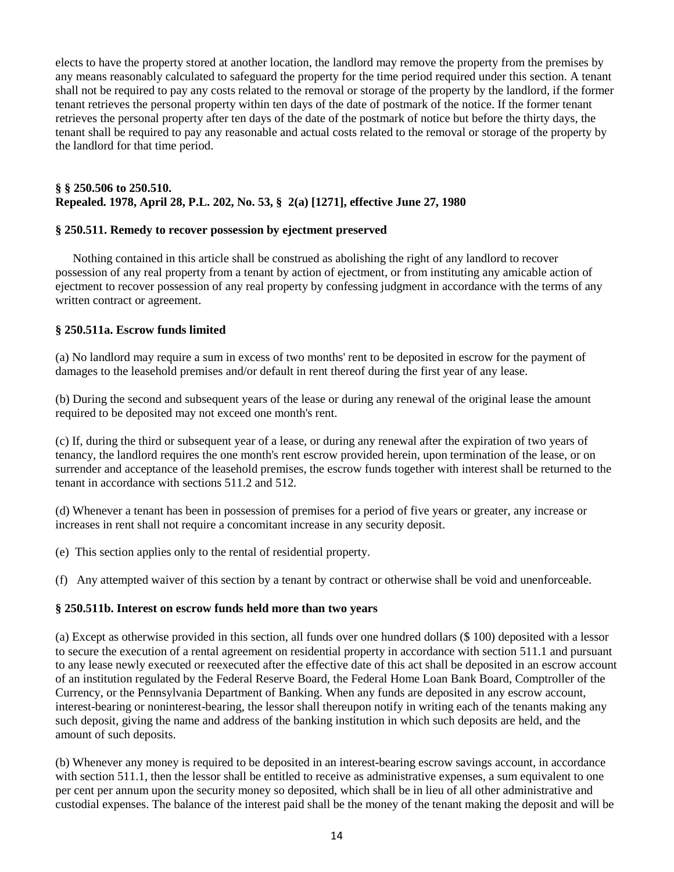elects to have the property stored at another location, the landlord may remove the property from the premises by any means reasonably calculated to safeguard the property for the time period required under this section. A tenant shall not be required to pay any costs related to the removal or storage of the property by the landlord, if the former tenant retrieves the personal property within ten days of the date of postmark of the notice. If the former tenant retrieves the personal property after ten days of the date of the postmark of notice but before the thirty days, the tenant shall be required to pay any reasonable and actual costs related to the removal or storage of the property by the landlord for that time period.

# **§ § 250.506 to 250.510. Repealed. 1978, April 28, P.L. 202, No. 53, § 2(a) [1271], effective June 27, 1980**

## **§ 250.511. Remedy to recover possession by ejectment preserved**

 Nothing contained in this article shall be construed as abolishing the right of any landlord to recover possession of any real property from a tenant by action of ejectment, or from instituting any amicable action of ejectment to recover possession of any real property by confessing judgment in accordance with the terms of any written contract or agreement.

## **§ 250.511a. Escrow funds limited**

(a) No landlord may require a sum in excess of two months' rent to be deposited in escrow for the payment of damages to the leasehold premises and/or default in rent thereof during the first year of any lease.

(b) During the second and subsequent years of the lease or during any renewal of the original lease the amount required to be deposited may not exceed one month's rent.

(c) If, during the third or subsequent year of a lease, or during any renewal after the expiration of two years of tenancy, the landlord requires the one month's rent escrow provided herein, upon termination of the lease, or on surrender and acceptance of the leasehold premises, the escrow funds together with interest shall be returned to the tenant in accordance with sections 511.2 and 512.

(d) Whenever a tenant has been in possession of premises for a period of five years or greater, any increase or increases in rent shall not require a concomitant increase in any security deposit.

(e) This section applies only to the rental of residential property.

(f) Any attempted waiver of this section by a tenant by contract or otherwise shall be void and unenforceable.

## **§ 250.511b. Interest on escrow funds held more than two years**

(a) Except as otherwise provided in this section, all funds over one hundred dollars (\$ 100) deposited with a lessor to secure the execution of a rental agreement on residential property in accordance with section 511.1 and pursuant to any lease newly executed or reexecuted after the effective date of this act shall be deposited in an escrow account of an institution regulated by the Federal Reserve Board, the Federal Home Loan Bank Board, Comptroller of the Currency, or the Pennsylvania Department of Banking. When any funds are deposited in any escrow account, interest-bearing or noninterest-bearing, the lessor shall thereupon notify in writing each of the tenants making any such deposit, giving the name and address of the banking institution in which such deposits are held, and the amount of such deposits.

(b) Whenever any money is required to be deposited in an interest-bearing escrow savings account, in accordance with section 511.1, then the lessor shall be entitled to receive as administrative expenses, a sum equivalent to one per cent per annum upon the security money so deposited, which shall be in lieu of all other administrative and custodial expenses. The balance of the interest paid shall be the money of the tenant making the deposit and will be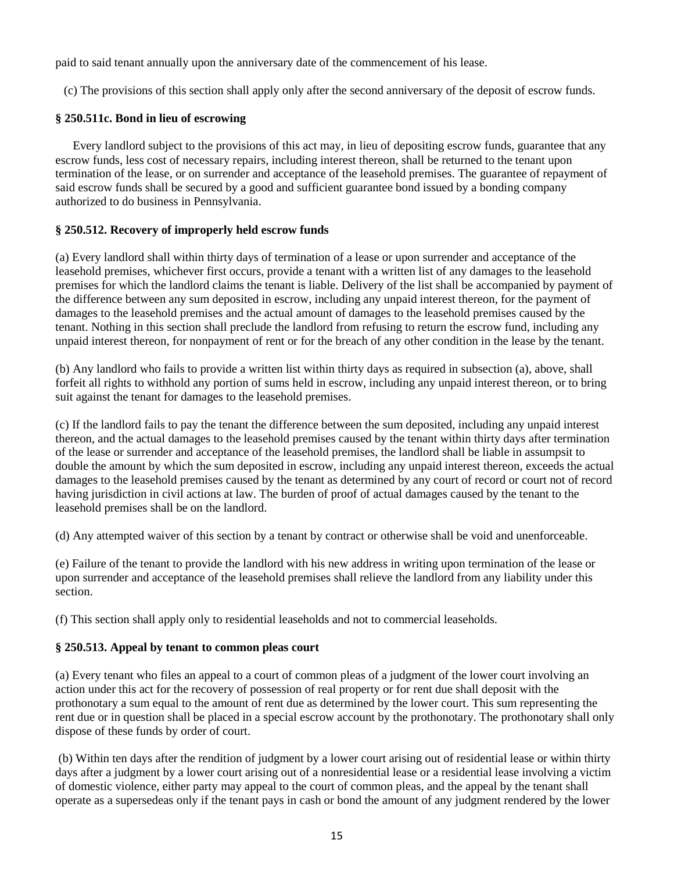paid to said tenant annually upon the anniversary date of the commencement of his lease.

(c) The provisions of this section shall apply only after the second anniversary of the deposit of escrow funds.

# **§ 250.511c. Bond in lieu of escrowing**

 Every landlord subject to the provisions of this act may, in lieu of depositing escrow funds, guarantee that any escrow funds, less cost of necessary repairs, including interest thereon, shall be returned to the tenant upon termination of the lease, or on surrender and acceptance of the leasehold premises. The guarantee of repayment of said escrow funds shall be secured by a good and sufficient guarantee bond issued by a bonding company authorized to do business in Pennsylvania.

# **§ 250.512. Recovery of improperly held escrow funds**

(a) Every landlord shall within thirty days of termination of a lease or upon surrender and acceptance of the leasehold premises, whichever first occurs, provide a tenant with a written list of any damages to the leasehold premises for which the landlord claims the tenant is liable. Delivery of the list shall be accompanied by payment of the difference between any sum deposited in escrow, including any unpaid interest thereon, for the payment of damages to the leasehold premises and the actual amount of damages to the leasehold premises caused by the tenant. Nothing in this section shall preclude the landlord from refusing to return the escrow fund, including any unpaid interest thereon, for nonpayment of rent or for the breach of any other condition in the lease by the tenant.

(b) Any landlord who fails to provide a written list within thirty days as required in subsection (a), above, shall forfeit all rights to withhold any portion of sums held in escrow, including any unpaid interest thereon, or to bring suit against the tenant for damages to the leasehold premises.

(c) If the landlord fails to pay the tenant the difference between the sum deposited, including any unpaid interest thereon, and the actual damages to the leasehold premises caused by the tenant within thirty days after termination of the lease or surrender and acceptance of the leasehold premises, the landlord shall be liable in assumpsit to double the amount by which the sum deposited in escrow, including any unpaid interest thereon, exceeds the actual damages to the leasehold premises caused by the tenant as determined by any court of record or court not of record having jurisdiction in civil actions at law. The burden of proof of actual damages caused by the tenant to the leasehold premises shall be on the landlord.

(d) Any attempted waiver of this section by a tenant by contract or otherwise shall be void and unenforceable.

(e) Failure of the tenant to provide the landlord with his new address in writing upon termination of the lease or upon surrender and acceptance of the leasehold premises shall relieve the landlord from any liability under this section.

(f) This section shall apply only to residential leaseholds and not to commercial leaseholds.

## **§ 250.513. Appeal by tenant to common pleas court**

(a) Every tenant who files an appeal to a court of common pleas of a judgment of the lower court involving an action under this act for the recovery of possession of real property or for rent due shall deposit with the prothonotary a sum equal to the amount of rent due as determined by the lower court. This sum representing the rent due or in question shall be placed in a special escrow account by the prothonotary. The prothonotary shall only dispose of these funds by order of court.

(b) Within ten days after the rendition of judgment by a lower court arising out of residential lease or within thirty days after a judgment by a lower court arising out of a nonresidential lease or a residential lease involving a victim of domestic violence, either party may appeal to the court of common pleas, and the appeal by the tenant shall operate as a supersedeas only if the tenant pays in cash or bond the amount of any judgment rendered by the lower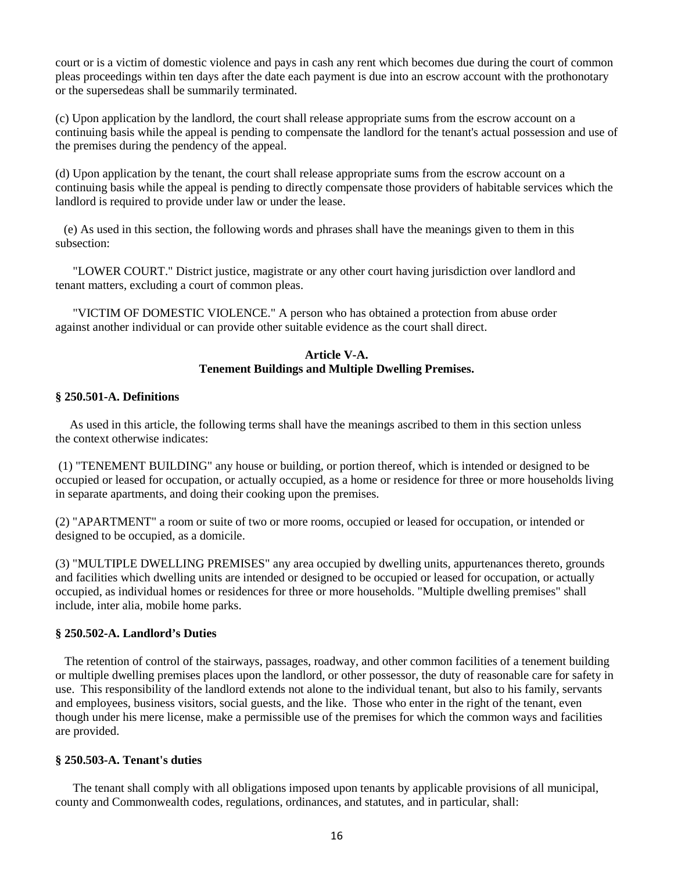court or is a victim of domestic violence and pays in cash any rent which becomes due during the court of common pleas proceedings within ten days after the date each payment is due into an escrow account with the prothonotary or the supersedeas shall be summarily terminated.

(c) Upon application by the landlord, the court shall release appropriate sums from the escrow account on a continuing basis while the appeal is pending to compensate the landlord for the tenant's actual possession and use of the premises during the pendency of the appeal.

(d) Upon application by the tenant, the court shall release appropriate sums from the escrow account on a continuing basis while the appeal is pending to directly compensate those providers of habitable services which the landlord is required to provide under law or under the lease.

(e) As used in this section, the following words and phrases shall have the meanings given to them in this subsection:

 "LOWER COURT." District justice, magistrate or any other court having jurisdiction over landlord and tenant matters, excluding a court of common pleas.

 "VICTIM OF DOMESTIC VIOLENCE." A person who has obtained a protection from abuse order against another individual or can provide other suitable evidence as the court shall direct.

## **Article V-A. Tenement Buildings and Multiple Dwelling Premises.**

## **§ 250.501-A. Definitions**

 As used in this article, the following terms shall have the meanings ascribed to them in this section unless the context otherwise indicates:

(1) "TENEMENT BUILDING" any house or building, or portion thereof, which is intended or designed to be occupied or leased for occupation, or actually occupied, as a home or residence for three or more households living in separate apartments, and doing their cooking upon the premises.

(2) "APARTMENT" a room or suite of two or more rooms, occupied or leased for occupation, or intended or designed to be occupied, as a domicile.

(3) "MULTIPLE DWELLING PREMISES" any area occupied by dwelling units, appurtenances thereto, grounds and facilities which dwelling units are intended or designed to be occupied or leased for occupation, or actually occupied, as individual homes or residences for three or more households. "Multiple dwelling premises" shall include, inter alia, mobile home parks.

## **§ 250.502-A. Landlord's Duties**

 The retention of control of the stairways, passages, roadway, and other common facilities of a tenement building or multiple dwelling premises places upon the landlord, or other possessor, the duty of reasonable care for safety in use. This responsibility of the landlord extends not alone to the individual tenant, but also to his family, servants and employees, business visitors, social guests, and the like. Those who enter in the right of the tenant, even though under his mere license, make a permissible use of the premises for which the common ways and facilities are provided.

#### **§ 250.503-A. Tenant's duties**

 The tenant shall comply with all obligations imposed upon tenants by applicable provisions of all municipal, county and Commonwealth codes, regulations, ordinances, and statutes, and in particular, shall: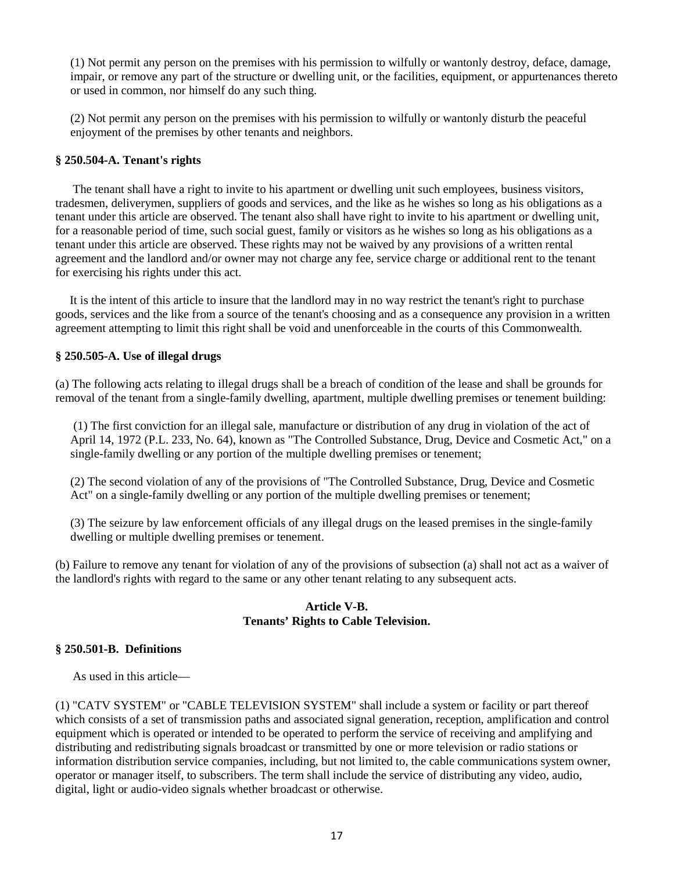(1) Not permit any person on the premises with his permission to wilfully or wantonly destroy, deface, damage, impair, or remove any part of the structure or dwelling unit, or the facilities, equipment, or appurtenances thereto or used in common, nor himself do any such thing.

(2) Not permit any person on the premises with his permission to wilfully or wantonly disturb the peaceful enjoyment of the premises by other tenants and neighbors.

## **§ 250.504-A. Tenant's rights**

 The tenant shall have a right to invite to his apartment or dwelling unit such employees, business visitors, tradesmen, deliverymen, suppliers of goods and services, and the like as he wishes so long as his obligations as a tenant under this article are observed. The tenant also shall have right to invite to his apartment or dwelling unit, for a reasonable period of time, such social guest, family or visitors as he wishes so long as his obligations as a tenant under this article are observed. These rights may not be waived by any provisions of a written rental agreement and the landlord and/or owner may not charge any fee, service charge or additional rent to the tenant for exercising his rights under this act.

 It is the intent of this article to insure that the landlord may in no way restrict the tenant's right to purchase goods, services and the like from a source of the tenant's choosing and as a consequence any provision in a written agreement attempting to limit this right shall be void and unenforceable in the courts of this Commonwealth.

#### **§ 250.505-A. Use of illegal drugs**

(a) The following acts relating to illegal drugs shall be a breach of condition of the lease and shall be grounds for removal of the tenant from a single-family dwelling, apartment, multiple dwelling premises or tenement building:

(1) The first conviction for an illegal sale, manufacture or distribution of any drug in violation of the act of April 14, 1972 (P.L. 233, No. 64), known as "The Controlled Substance, Drug, Device and Cosmetic Act," on a single-family dwelling or any portion of the multiple dwelling premises or tenement;

(2) The second violation of any of the provisions of "The Controlled Substance, Drug, Device and Cosmetic Act" on a single-family dwelling or any portion of the multiple dwelling premises or tenement;

(3) The seizure by law enforcement officials of any illegal drugs on the leased premises in the single-family dwelling or multiple dwelling premises or tenement.

(b) Failure to remove any tenant for violation of any of the provisions of subsection (a) shall not act as a waiver of the landlord's rights with regard to the same or any other tenant relating to any subsequent acts.

## **Article V-B. Tenants' Rights to Cable Television.**

### **§ 250.501-B. Definitions**

As used in this article—

(1) "CATV SYSTEM" or "CABLE TELEVISION SYSTEM" shall include a system or facility or part thereof which consists of a set of transmission paths and associated signal generation, reception, amplification and control equipment which is operated or intended to be operated to perform the service of receiving and amplifying and distributing and redistributing signals broadcast or transmitted by one or more television or radio stations or information distribution service companies, including, but not limited to, the cable communications system owner, operator or manager itself, to subscribers. The term shall include the service of distributing any video, audio, digital, light or audio-video signals whether broadcast or otherwise.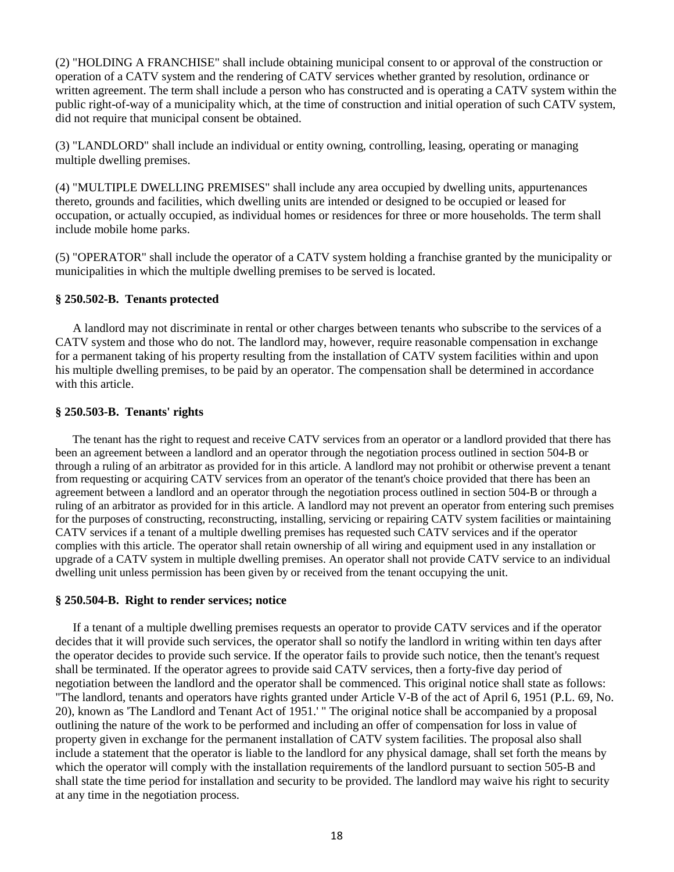(2) "HOLDING A FRANCHISE" shall include obtaining municipal consent to or approval of the construction or operation of a CATV system and the rendering of CATV services whether granted by resolution, ordinance or written agreement. The term shall include a person who has constructed and is operating a CATV system within the public right-of-way of a municipality which, at the time of construction and initial operation of such CATV system, did not require that municipal consent be obtained.

(3) "LANDLORD" shall include an individual or entity owning, controlling, leasing, operating or managing multiple dwelling premises.

(4) "MULTIPLE DWELLING PREMISES" shall include any area occupied by dwelling units, appurtenances thereto, grounds and facilities, which dwelling units are intended or designed to be occupied or leased for occupation, or actually occupied, as individual homes or residences for three or more households. The term shall include mobile home parks.

(5) "OPERATOR" shall include the operator of a CATV system holding a franchise granted by the municipality or municipalities in which the multiple dwelling premises to be served is located.

## **§ 250.502-B. Tenants protected**

 A landlord may not discriminate in rental or other charges between tenants who subscribe to the services of a CATV system and those who do not. The landlord may, however, require reasonable compensation in exchange for a permanent taking of his property resulting from the installation of CATV system facilities within and upon his multiple dwelling premises, to be paid by an operator. The compensation shall be determined in accordance with this article.

# **§ 250.503-B. Tenants' rights**

 The tenant has the right to request and receive CATV services from an operator or a landlord provided that there has been an agreement between a landlord and an operator through the negotiation process outlined in section 504-B or through a ruling of an arbitrator as provided for in this article. A landlord may not prohibit or otherwise prevent a tenant from requesting or acquiring CATV services from an operator of the tenant's choice provided that there has been an agreement between a landlord and an operator through the negotiation process outlined in section 504-B or through a ruling of an arbitrator as provided for in this article. A landlord may not prevent an operator from entering such premises for the purposes of constructing, reconstructing, installing, servicing or repairing CATV system facilities or maintaining CATV services if a tenant of a multiple dwelling premises has requested such CATV services and if the operator complies with this article. The operator shall retain ownership of all wiring and equipment used in any installation or upgrade of a CATV system in multiple dwelling premises. An operator shall not provide CATV service to an individual dwelling unit unless permission has been given by or received from the tenant occupying the unit.

#### **§ 250.504-B. Right to render services; notice**

 If a tenant of a multiple dwelling premises requests an operator to provide CATV services and if the operator decides that it will provide such services, the operator shall so notify the landlord in writing within ten days after the operator decides to provide such service. If the operator fails to provide such notice, then the tenant's request shall be terminated. If the operator agrees to provide said CATV services, then a forty-five day period of negotiation between the landlord and the operator shall be commenced. This original notice shall state as follows: "The landlord, tenants and operators have rights granted under Article V-B of the act of April 6, 1951 (P.L. 69, No. 20), known as 'The Landlord and Tenant Act of 1951.' " The original notice shall be accompanied by a proposal outlining the nature of the work to be performed and including an offer of compensation for loss in value of property given in exchange for the permanent installation of CATV system facilities. The proposal also shall include a statement that the operator is liable to the landlord for any physical damage, shall set forth the means by which the operator will comply with the installation requirements of the landlord pursuant to section 505-B and shall state the time period for installation and security to be provided. The landlord may waive his right to security at any time in the negotiation process.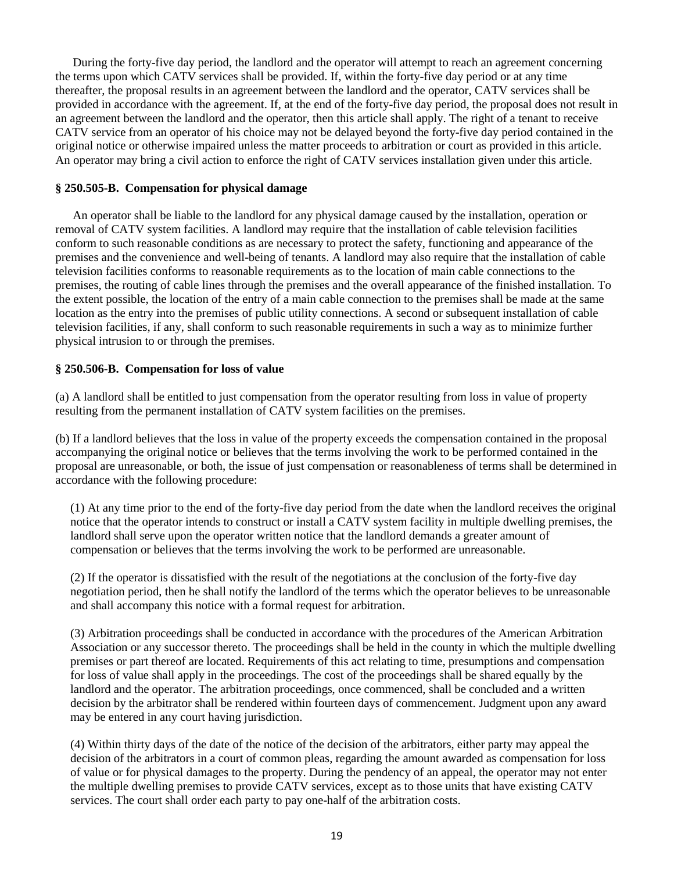During the forty-five day period, the landlord and the operator will attempt to reach an agreement concerning the terms upon which CATV services shall be provided. If, within the forty-five day period or at any time thereafter, the proposal results in an agreement between the landlord and the operator, CATV services shall be provided in accordance with the agreement. If, at the end of the forty-five day period, the proposal does not result in an agreement between the landlord and the operator, then this article shall apply. The right of a tenant to receive CATV service from an operator of his choice may not be delayed beyond the forty-five day period contained in the original notice or otherwise impaired unless the matter proceeds to arbitration or court as provided in this article. An operator may bring a civil action to enforce the right of CATV services installation given under this article.

## **§ 250.505-B. Compensation for physical damage**

 An operator shall be liable to the landlord for any physical damage caused by the installation, operation or removal of CATV system facilities. A landlord may require that the installation of cable television facilities conform to such reasonable conditions as are necessary to protect the safety, functioning and appearance of the premises and the convenience and well-being of tenants. A landlord may also require that the installation of cable television facilities conforms to reasonable requirements as to the location of main cable connections to the premises, the routing of cable lines through the premises and the overall appearance of the finished installation. To the extent possible, the location of the entry of a main cable connection to the premises shall be made at the same location as the entry into the premises of public utility connections. A second or subsequent installation of cable television facilities, if any, shall conform to such reasonable requirements in such a way as to minimize further physical intrusion to or through the premises.

## **§ 250.506-B. Compensation for loss of value**

(a) A landlord shall be entitled to just compensation from the operator resulting from loss in value of property resulting from the permanent installation of CATV system facilities on the premises.

(b) If a landlord believes that the loss in value of the property exceeds the compensation contained in the proposal accompanying the original notice or believes that the terms involving the work to be performed contained in the proposal are unreasonable, or both, the issue of just compensation or reasonableness of terms shall be determined in accordance with the following procedure:

(1) At any time prior to the end of the forty-five day period from the date when the landlord receives the original notice that the operator intends to construct or install a CATV system facility in multiple dwelling premises, the landlord shall serve upon the operator written notice that the landlord demands a greater amount of compensation or believes that the terms involving the work to be performed are unreasonable.

(2) If the operator is dissatisfied with the result of the negotiations at the conclusion of the forty-five day negotiation period, then he shall notify the landlord of the terms which the operator believes to be unreasonable and shall accompany this notice with a formal request for arbitration.

(3) Arbitration proceedings shall be conducted in accordance with the procedures of the American Arbitration Association or any successor thereto. The proceedings shall be held in the county in which the multiple dwelling premises or part thereof are located. Requirements of this act relating to time, presumptions and compensation for loss of value shall apply in the proceedings. The cost of the proceedings shall be shared equally by the landlord and the operator. The arbitration proceedings, once commenced, shall be concluded and a written decision by the arbitrator shall be rendered within fourteen days of commencement. Judgment upon any award may be entered in any court having jurisdiction.

(4) Within thirty days of the date of the notice of the decision of the arbitrators, either party may appeal the decision of the arbitrators in a court of common pleas, regarding the amount awarded as compensation for loss of value or for physical damages to the property. During the pendency of an appeal, the operator may not enter the multiple dwelling premises to provide CATV services, except as to those units that have existing CATV services. The court shall order each party to pay one-half of the arbitration costs.